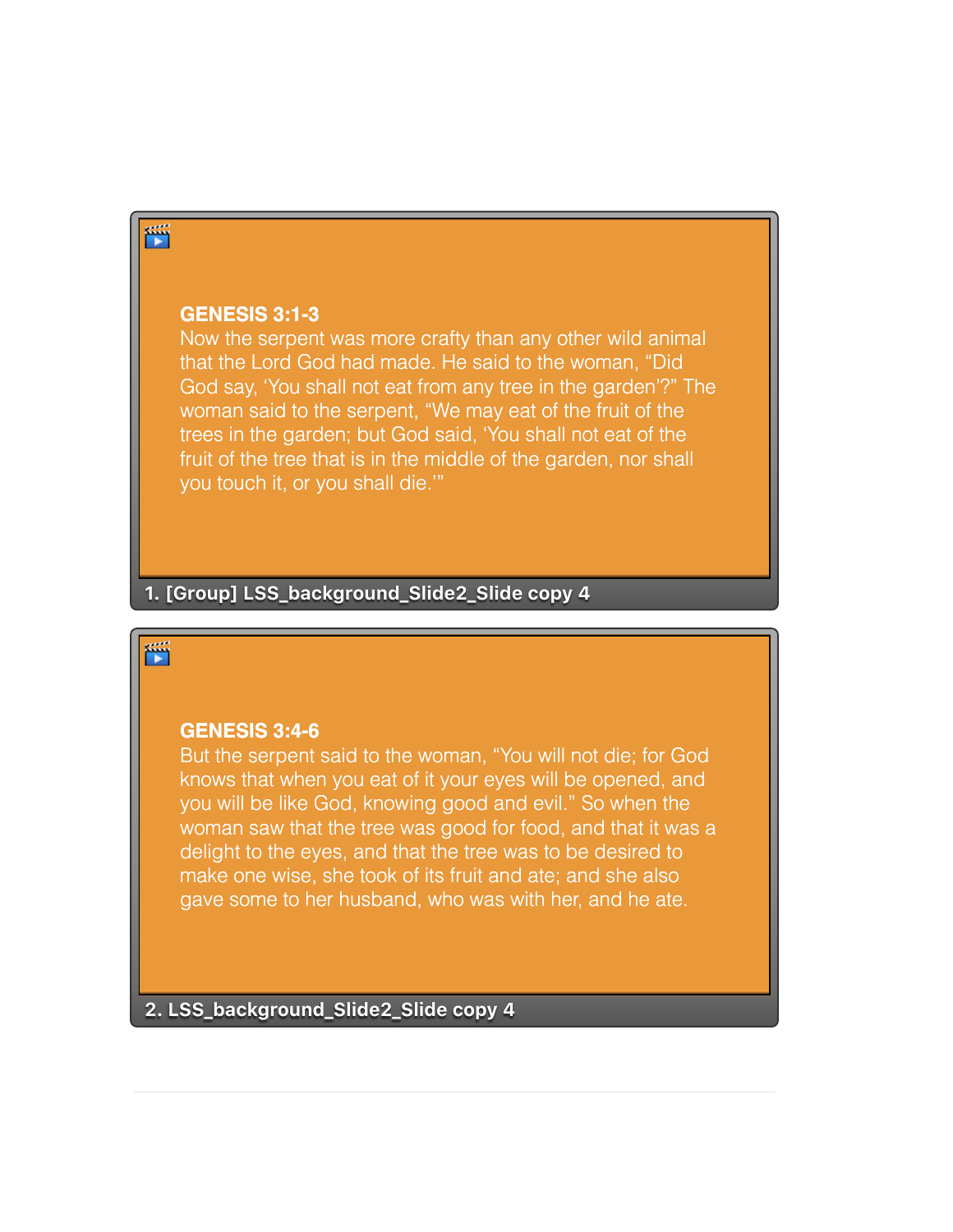# 鬥

#### **GENESIS 3:1-3**

Now the serpent was more crafty than any other wild animal that the Lord God had made. He said to the woman, "Did God say, 'You shall not eat from any tree in the garden'?" The woman said to the serpent, "We may eat of the fruit of the trees in the garden; but God said, 'You shall not eat of the fruit of the tree that is in the middle of the garden, nor shall you touch it, or you shall die.'"

## **1. [Group] LSS\_background\_Slide2\_Slide copy 4**

## 萱

#### **GENESIS 3:4-6**

But the serpent said to the woman, "You will not die; for God knows that when you eat of it your eyes will be opened, and you will be like God, knowing good and evil." So when the woman saw that the tree was good for food, and that it was a delight to the eyes, and that the tree was to be desired to make one wise, she took of its fruit and ate; and she also gave some to her husband, who was with her, and he ate.

**2. LSS\_background\_Slide2\_Slide copy 4**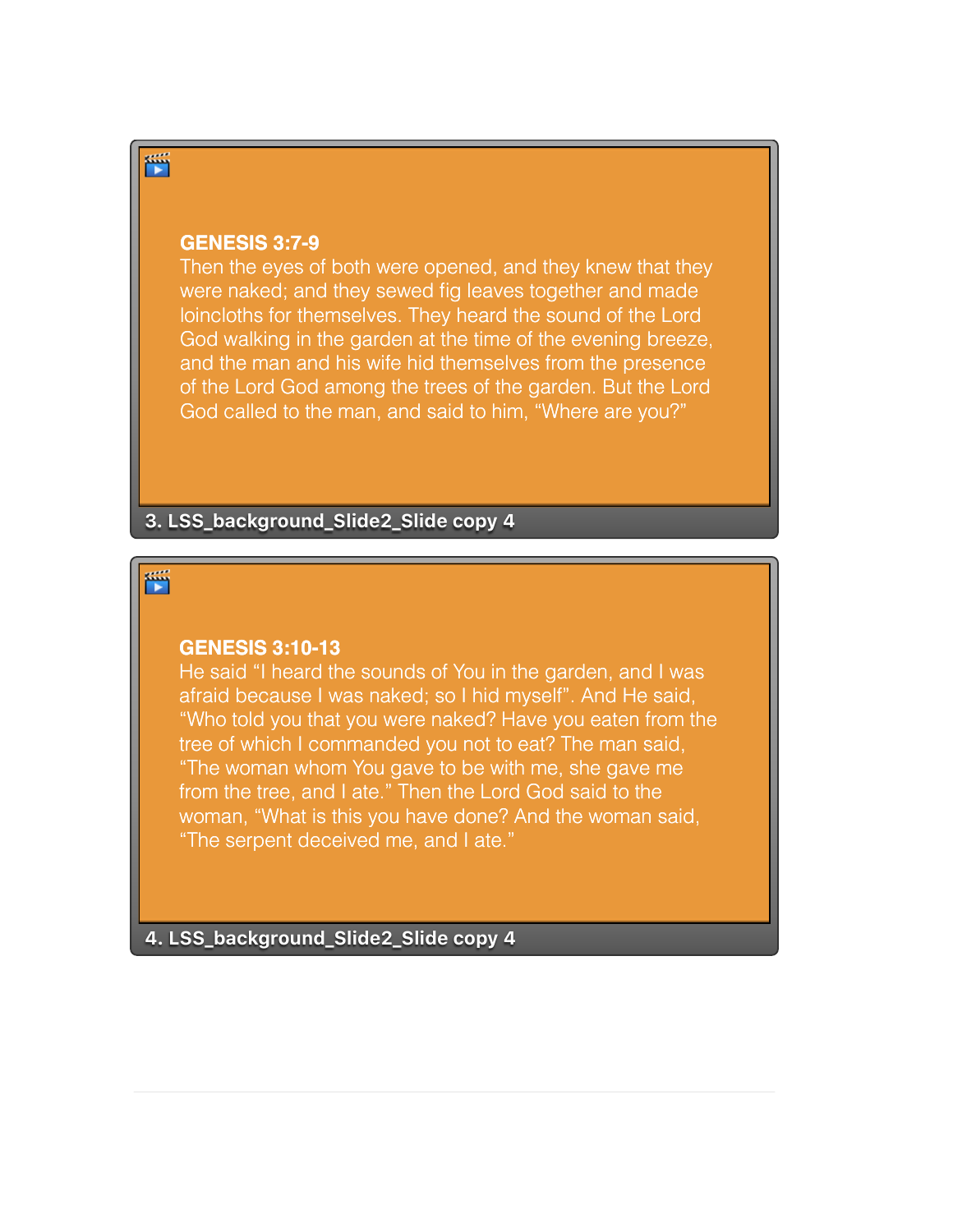#### **GENESIS 3:7-9**

Then the eyes of both were opened, and they knew that they were naked; and they sewed fig leaves together and made loincloths for themselves. They heard the sound of the Lord God walking in the garden at the time of the evening breeze, and the man and his wife hid themselves from the presence of the Lord God among the trees of the garden. But the Lord God called to the man, and said to him, "Where are you?"

**3. LSS\_background\_Slide2\_Slide copy 4**

## 鄑

#### **GENESIS 3:10-13**

He said "I heard the sounds of You in the garden, and I was afraid because I was naked; so I hid myself". And He said, "Who told you that you were naked? Have you eaten from the tree of which I commanded you not to eat? The man said, "The woman whom You gave to be with me, she gave me from the tree, and I ate." Then the Lord God said to the woman, "What is this you have done? And the woman said, "The serpent deceived me, and I ate."

**4. LSS\_background\_Slide2\_Slide copy 4**

简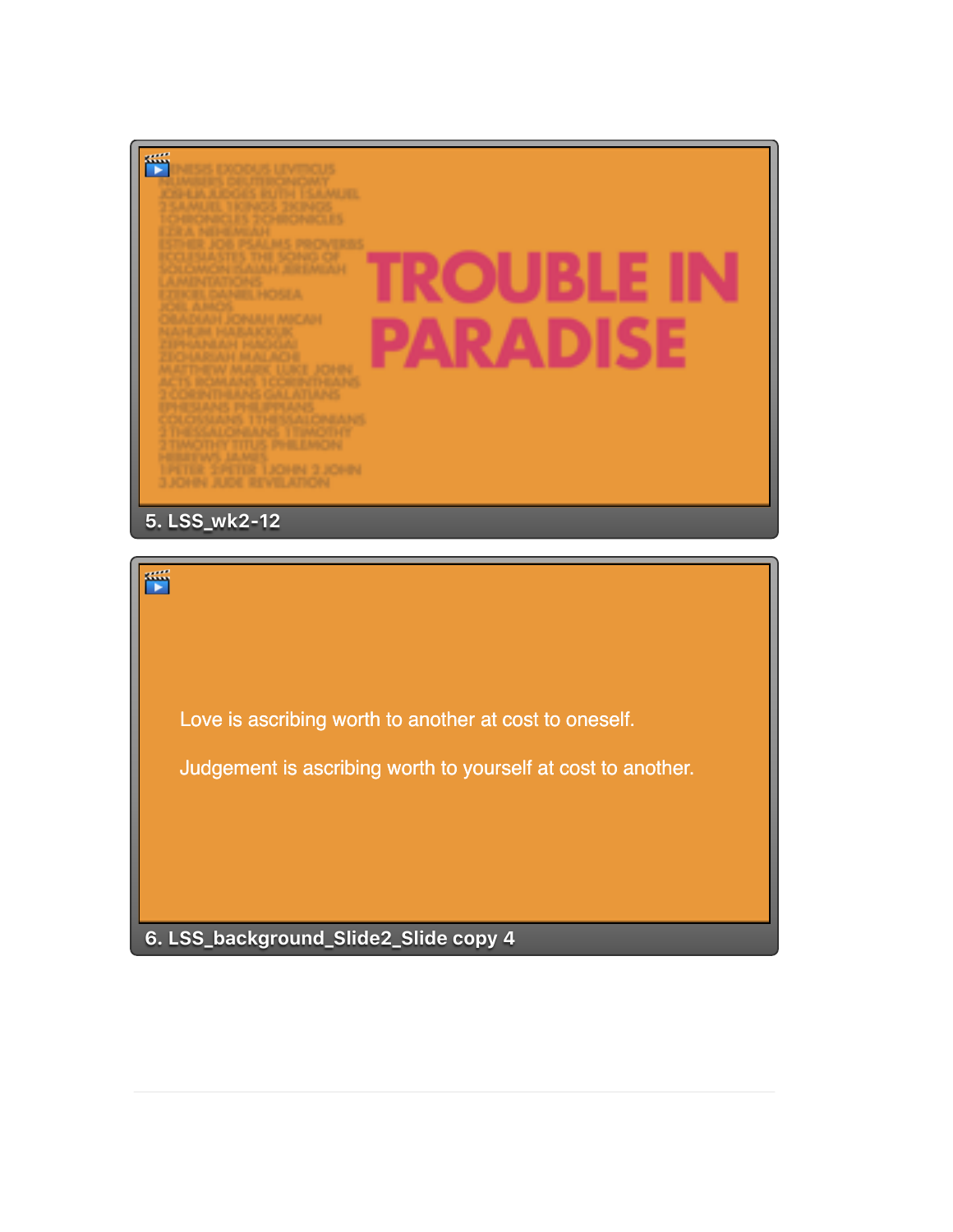

Love is ascribing worth to another at cost to oneself.

Judgement is ascribing worth to yourself at cost to another.

**6. LSS\_background\_Slide2\_Slide copy 4**